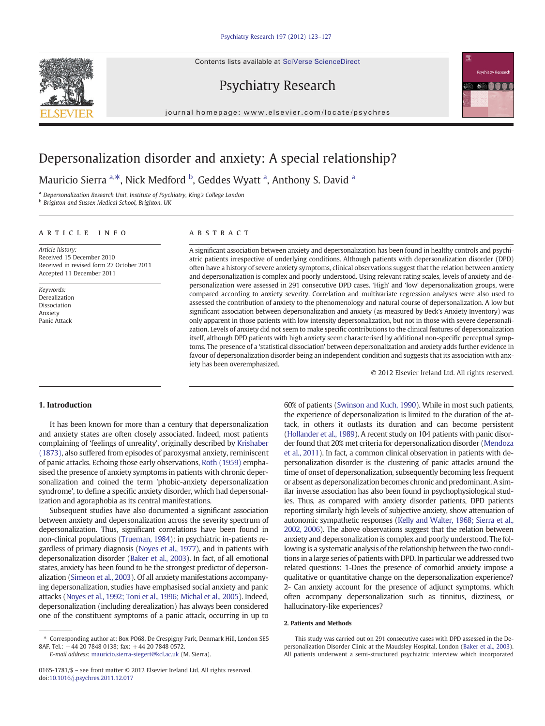Contents lists available at SciVerse ScienceDirect





journal homepage: www.elsevier.com/locate/psychres



# Depersonalization disorder and anxiety: A special relationship?

Mauricio Sierra <sup>a, $*$ </sup>, Nick Medford <sup>b</sup>, Geddes Wyatt <sup>a</sup>, Anthony S. David <sup>a</sup>

<sup>a</sup> Depersonalization Research Unit, Institute of Psychiatry, King's College London

**b** Brighton and Sussex Medical School, Brighton, UK

# article info abstract

Article history: Received 15 December 2010 Received in revised form 27 October 2011 Accepted 11 December 2011

Keywords: Derealization Dissociation Anxiety Panic Attack

A significant association between anxiety and depersonalization has been found in healthy controls and psychiatric patients irrespective of underlying conditions. Although patients with depersonalization disorder (DPD) often have a history of severe anxiety symptoms, clinical observations suggest that the relation between anxiety and depersonalization is complex and poorly understood. Using relevant rating scales, levels of anxiety and depersonalization were assessed in 291 consecutive DPD cases. 'High' and 'low' depersonalization groups, were compared according to anxiety severity. Correlation and multivariate regression analyses were also used to assessed the contribution of anxiety to the phenomenology and natural course of depersonalization. A low but significant association between depersonalization and anxiety (as measured by Beck's Anxiety Inventory) was only apparent in those patients with low intensity depersonalization, but not in those with severe depersonalization. Levels of anxiety did not seem to make specific contributions to the clinical features of depersonalization itself, although DPD patients with high anxiety seem characterised by additional non-specific perceptual symptoms. The presence of a 'statistical dissociation' between depersonalization and anxiety adds further evidence in favour of depersonalization disorder being an independent condition and suggests that its association with anxiety has been overemphasized.

© 2012 Elsevier Ireland Ltd. All rights reserved.

# 1. Introduction

It has been known for more than a century that depersonalization and anxiety states are often closely associated. Indeed, most patients complaining of 'feelings of unreality', originally described by [Krishaber](#page-4-0) [\(1873\)](#page-4-0), also suffered from episodes of paroxysmal anxiety, reminiscent of panic attacks. Echoing those early observations, [Roth \(1959\)](#page-4-0) emphasised the presence of anxiety symptoms in patients with chronic depersonalization and coined the term 'phobic-anxiety depersonalization syndrome', to define a specific anxiety disorder, which had depersonalization and agoraphobia as its central manifestations.

Subsequent studies have also documented a significant association between anxiety and depersonalization across the severity spectrum of depersonalization. Thus, significant correlations have been found in non-clinical populations ([Trueman, 1984\)](#page-4-0); in psychiatric in-patients regardless of primary diagnosis ([Noyes et al., 1977](#page-4-0)), and in patients with depersonalization disorder [\(Baker et al., 2003\)](#page-3-0). In fact, of all emotional states, anxiety has been found to be the strongest predictor of depersonalization [\(Simeon et al., 2003](#page-4-0)). Of all anxiety manifestations accompanying depersonalization, studies have emphasised social anxiety and panic attacks [\(Noyes et al., 1992; Toni et al., 1996; Michal et al., 2005\)](#page-4-0). Indeed, depersonalization (including derealization) has always been considered one of the constituent symptoms of a panic attack, occurring in up to

E-mail address: [mauricio.sierra-siegert@kcl.ac.uk](mailto:mauricio.sierra-siegert@kcl.ac.uk) (M. Sierra).

60% of patients ([Swinson and Kuch, 1990\)](#page-4-0). While in most such patients, the experience of depersonalization is limited to the duration of the attack, in others it outlasts its duration and can become persistent [\(Hollander et al., 1989\)](#page-3-0). A recent study on 104 patients with panic disorder found that 20% met criteria for depersonalization disorder [\(Mendoza](#page-4-0) [et al., 2011\)](#page-4-0). In fact, a common clinical observation in patients with depersonalization disorder is the clustering of panic attacks around the time of onset of depersonalization, subsequently becoming less frequent or absent as depersonalization becomes chronic and predominant. A similar inverse association has also been found in psychophysiological studies. Thus, as compared with anxiety disorder patients, DPD patients reporting similarly high levels of subjective anxiety, show attenuation of autonomic sympathetic responses [\(Kelly and Walter, 1968; Sierra et al.,](#page-4-0) [2002, 2006\)](#page-4-0). The above observations suggest that the relation between anxiety and depersonalization is complex and poorly understood. The following is a systematic analysis of the relationship between the two conditions in a large series of patients with DPD. In particular we addressed two related questions: 1-Does the presence of comorbid anxiety impose a qualitative or quantitative change on the depersonalization experience? 2- Can anxiety account for the presence of adjunct symptoms, which often accompany depersonalization such as tinnitus, dizziness, or hallucinatory-like experiences?

#### 2. Patients and Methods

This study was carried out on 291 consecutive cases with DPD assessed in the Depersonalization Disorder Clinic at the Maudsley Hospital, London [\(Baker et al., 2003](#page-3-0)). All patients underwent a semi-structured psychiatric interview which incorporated

<sup>⁎</sup> Corresponding author at: Box PO68, De Crespigny Park, Denmark Hill, London SE5 8AF. Tel.: +44 20 7848 0138; fax: +44 20 7848 0572.

<sup>0165-1781/\$</sup> – see front matter © 2012 Elsevier Ireland Ltd. All rights reserved. doi:[10.1016/j.psychres.2011.12.017](http://dx.doi.org/10.1016/j.psychres.2011.12.017)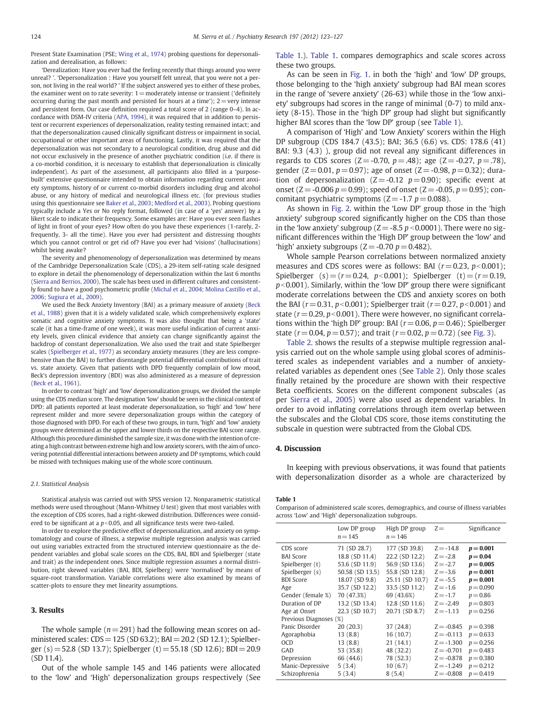Present State Examination (PSE; [Wing et al., 1974](#page-4-0)) probing questions for depersonalization and derealisation, as follows:

'Derealization: Have you ever had the feeling recently that things around you were unreal? '. 'Depersonalization : Have you yourself felt unreal, that you were not a person, not living in the real world? ' If the subject answered yes to either of these probes, the examiner went on to rate severity:  $1=$  moderately intense or transient ('definitely occurring during the past month and persisted for hours at a time');  $2 =$  very intense and persistent form. Our case definition required a total score of 2 (range 0–4). In accordance with DSM-IV criteria [\(APA, 1994](#page-3-0)), it was required that in addition to persistent or recurrent experiences of depersonalization, reality testing remained intact; and that the depersonalization caused clinically significant distress or impairment in social, occupational or other important areas of functioning. Lastly, it was required that the depersonalization was not secondary to a neurological condition, drug abuse and did not occur exclusively in the presence of another psychiatric condition (i.e. if there is a co-morbid condition, it is necessary to establish that depersonalization is clinically independent). As part of the assessment, all participants also filled in a 'purposebuilt' extensive questionnaire intended to obtain information regarding current anxiety symptoms, history of or current co-morbid disorders including drug and alcohol abuse, or any history of medical and neurological illness etc. (for previous studies using this questionnaire see [Baker et al., 2003](#page-3-0); [Medford et al., 2003\)](#page-4-0). Probing questions typically include a Yes or No reply format, followed (in case of a 'yes' answer) by a likert scale to indicate their frequency. Some examples are: Have you ever seen flashes of light in front of your eyes? How often do you have these experiences (1-rarely, 2 frequently, 3- all the time). Have you ever had persistent and distressing thoughts which you cannot control or get rid of? Have you ever had 'visions' (hallucinations) whilst being awake?

The severity and phenomenology of depersonalization was determined by means of the Cambridge Depersonalization Scale (CDS), a 29-item self-rating scale designed to explore in detail the phenomenology of depersonalization within the last 6 months ([Sierra and Berrios, 2000\)](#page-4-0). The scale has been used in different cultures and consistently found to have a good psychometric profile ([Michal et al., 2004; Molina Castillo et al.,](#page-4-0) [2006; Sugiura et al., 2009\)](#page-4-0).

We used the Beck Anxiety Inventory (BAI) as a primary measure of anxiety [\(Beck](#page-3-0) [et al., 1988\)](#page-3-0) given that it is a widely validated scale, which comprehensively explores somatic and cognitive anxiety symptoms. It was also thought that being a 'state' scale (it has a time-frame of one week), it was more useful indication of current anxiety levels, given clinical evidence that anxiety can change significantly against the backdrop of constant depersonalization. We also used the trait and state Spielberger scales [\(Spielberger et al., 1977](#page-4-0)) as secondary anxiety measures (they are less comprehensive than the BAI) to further disentangle potential differential contributions of trait vs. state anxiety. Given that patients with DPD frequently complain of low mood, Beck's depression inventory (BDI) was also administered as a measure of depression ([Beck et al., 1961](#page-3-0)).

In order to contrast 'high' and 'low' depersonalization groups, we divided the sample using the CDS median score. The designation 'low' should be seen in the clinical context of DPD: all patients reported at least moderate depersonalization, so 'high' and 'low' here represent milder and more severe depersonalization groups within the category of those diagnosed with DPD. For each of these two groups, in turn, 'high' and 'low' anxiety groups were determined as the upper and lower thirds on the respective BAI score range. Although this procedure diminished the sample size, it was done with the intention of creating a high contrast between extreme high and low anxiety scorers, with the aim of uncovering potential differential interactions between anxiety and DP symptoms, which could be missed with techniques making use of the whole score continuum.

#### 2.1. Statistical Analysis

Statistical analysis was carried out with SPSS version 12. Nonparametric statistical methods were used throughout (Mann-Whitney U test) given that most variables with the exception of CDS scores, had a right-skewed distribution. Differences were considered to be significant at a  $p<0.05$ , and all significance tests were two-tailed.

In order to explore the predictive effect of depersonalization, and anxiety on symptomatology and course of illness, a stepwise multiple regression analysis was carried out using variables extracted from the structured interview questionnaire as the dependent variables and global scale scores on the CDS, BAI, BDI and Spielberger (state and trait) as the independent ones. Since multiple regression assumes a normal distribution, right skewed variables (BAI, BDI, Spielberg) were 'normalised' by means of square-root transformation. Variable correlations were also examined by means of scatter-plots to ensure they met linearity assumptions.

#### 3. Results

The whole sample ( $n=291$ ) had the following mean scores on administered scales: CDS=125 (SD 63.2); BAI=20.2 (SD 12.1); Spielberger (s) = 52.8 (SD 13.7); Spielberger (t) = 55.18 (SD 12.6); BDI = 20.9 (SD 11.4).

Out of the whole sample 145 and 146 patients were allocated to the 'low' and 'High' depersonalization groups respectively (See Table 1.). Table 1. compares demographics and scale scores across these two groups.

As can be seen in [Fig. 1.](#page-2-0) in both the 'high' and 'low' DP groups, those belonging to the 'high anxiety' subgroup had BAI mean scores in the range of 'severe anxiety' (26-63) while those in the 'low anxiety' subgroups had scores in the range of minimal (0-7) to mild anxiety (8-15). Those in the 'high DP' group had slight but significantly higher BAI scores than the 'low DP' group (see Table 1).

A comparison of 'High' and 'Low Anxiety' scorers within the High DP subgroup (CDS 184.7 (43.5); BAI; 36.5 (6.6) vs. CDS: 178.6 (41) BAI: 9.3 (4.3) ), group did not reveal any significant differences in regards to CDS scores ( $Z = -0.70$ ,  $p = .48$ ); age ( $Z = -0.27$ ,  $p = .78$ ), gender ( $Z = 0.01$ ,  $p = 0.97$ ); age of onset ( $Z = -0.98$ ,  $p = 0.32$ ); duration of depersonalization ( $Z = -0.12$   $p = 0.90$ ); specific event at onset (Z = -0.006  $p = 0.99$ ); speed of onset (Z = -0.05,  $p = 0.95$ ); concomitant psychiatric symptoms  $(Z = -1.7 p = 0.088)$ .

As shown in [Fig. 2](#page-2-0). within the 'Low DP' group those in the 'high anxiety' subgroup scored significantly higher on the CDS than those in the 'low anxiety' subgroup ( $Z = -8.5$  p < 0.0001). There were no significant differences within the 'High DP' group between the 'low' and 'high' anxiety subgroups ( $Z = -0.70$   $p = 0.482$ ).

Whole sample Pearson correlations between normalized anxiety measures and CDS scores were as follows: BAI ( $r = 0.23$ ,  $p < 0.001$ ); Spielberger (s) =  $(r= 0.24, p<0.001)$ ; Spielberger (t) =  $(r= 0.19, p<sub>0.001</sub>)$  $p<0.001$ ). Similarly, within the 'low DP' group there were significant moderate correlations between the CDS and anxiety scores on both the BAI ( $r = 0.31$ ,  $p < 0.001$ ); Spielberger trait ( $r = 0.27$ ,  $p < 0.001$ ) and state ( $r = 0.29$ ,  $p < 0.001$ ). There were however, no significant correlations within the 'high DP' group: BAI ( $r = 0.06$ ,  $p = 0.46$ ); Spielberger state ( $r = 0.04$ ,  $p = 0.57$ ); and trait ( $r = 0.02$ ,  $p = 0.72$ ) (see [Fig. 3\)](#page-2-0).

[Table 2](#page-3-0). shows the results of a stepwise multiple regression analysis carried out on the whole sample using global scores of administered scales as independent variables and a number of anxietyrelated variables as dependent ones (See [Table 2\)](#page-3-0). Only those scales finally retained by the procedure are shown with their respective Beta coefficients. Scores on the different component subscales (as per [Sierra et al., 2005](#page-4-0)) were also used as dependent variables. In order to avoid inflating correlations through item overlap between the subscales and the Global CDS score, those items constituting the subscale in question were subtracted from the Global CDS.

#### 4. Discussion

In keeping with previous observations, it was found that patients with depersonalization disorder as a whole are characterized by

Table 1

Comparison of administered scale scores, demographics, and course of illness variables across 'Low' and 'High' depersonalization subgroups.

|                                     | Low DP group<br>$n = 145$        | High DP group<br>$n = 146$       | $Z =$                    | Significance              |  |  |
|-------------------------------------|----------------------------------|----------------------------------|--------------------------|---------------------------|--|--|
| CDS score                           | 71 (SD 28.7)                     | 177 (SD 39.8)                    | $Z = -14.8$              | $p = 0.001$               |  |  |
| <b>BAI Score</b><br>Spielberger (t) | 18.8 (SD 11.4)<br>53.6 (SD 11.9) | 22.2 (SD 12.2)<br>56.9 (SD 13.6) | $Z = -2.8$<br>$Z = -2.7$ | $p = 0.04$<br>$p = 0.005$ |  |  |
| Spielberger (s)                     | 50.58 (SD 13.5)                  | 55.8 (SD 12.8)                   | $Z = -3.6$               | $p = 0.001$               |  |  |
| <b>BDI Score</b>                    | 18.07 (SD 9.8)                   | 25.11 (SD 10.7)                  | $Z = -5.5$               | $p = 0.001$               |  |  |
| Age                                 | 35.7 (SD 12.2)                   | 33.5 (SD 11.2)                   | $Z = -1.6$               | $p = 0.090$               |  |  |
| Gender (female %)                   | 70 (47.3%)                       | 69 (43.6%)                       | $Z = -1.7$               | $p = 0.86$                |  |  |
| Duration of DP                      | 13.2 (SD 13.4)                   | 12.8 (SD 11.6)                   | $Z = -2.49$              | $p = 0.803$               |  |  |
| Age at Onset                        | 22.3 (SD 10.7)                   | 20.71 (SD 8.7)                   | $Z = -1.13$              | $p = 0.256$               |  |  |
| Previous Diagnoses (%)              |                                  |                                  |                          |                           |  |  |
| Panic Disorder                      | 20(20.3)                         | 37 (24.8)                        | $Z = -0.845$             | $p = 0.398$               |  |  |
| Agoraphobia                         | 13(8.8)                          | 16 (10.7)                        | $Z = -0.113$             | $p = 0.633$               |  |  |
| <b>OCD</b>                          | 13(8.8)                          | 21(14.1)                         | $Z = -1.300$             | $p = 0.256$               |  |  |
| GAD                                 | 53 (35.8)                        | 48 (32.2)                        | $Z = -0.701$             | $p = 0.483$               |  |  |
| Depression                          | 66 (44.6)                        | 78 (52.3)                        | $Z = -0.878$             | $p = 0.380$               |  |  |
| Manic-Depressive                    | 5(3.4)                           | 10(6.7)                          | $Z = -1.249$             | $p = 0.212$               |  |  |
| Schizophrenia                       | 5(3.4)                           | 8(5.4)                           | $Z = -0.808$             | $p = 0.419$               |  |  |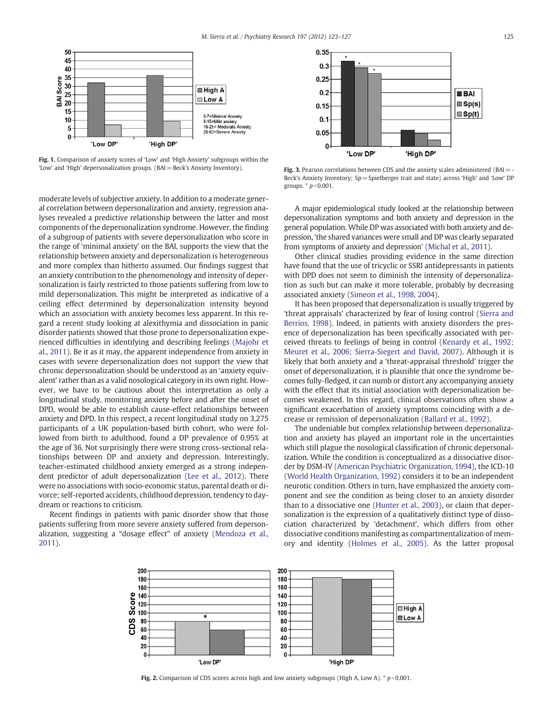<span id="page-2-0"></span>

Fig. 1. Comparison of anxiety scores of 'Low' and 'High Anxiety' subgroups within the 'Low' and 'High' depersonalization groups. (BAI= Beck's Anxiety Inventory).

moderate levels of subjective anxiety. In addition to a moderate general correlation between depersonalization and anxiety, regression analyses revealed a predictive relationship between the latter and most components of the depersonalization syndrome. However, the finding of a subgroup of patients with severe depersonalization who score in the range of 'minimal anxiety' on the BAI, supports the view that the relationship between anxiety and depersonalization is heterogeneous and more complex than hitherto assumed. Our findings suggest that an anxiety contribution to the phenomenology and intensity of depersonalization is fairly restricted to those patients suffering from low to mild depersonalization. This might be interpreted as indicative of a ceiling effect determined by depersonalization intensity beyond which an association with anxiety becomes less apparent. In this regard a recent study looking at alexithymia and dissociation in panic disorder patients showed that those prone to depersonalization experienced difficulties in identifying and describing feelings [\(Majohr et](#page-4-0) [al., 2011\)](#page-4-0). Be it as it may, the apparent independence from anxiety in cases with severe depersonalization does not support the view that chronic depersonalization should be understood as an 'anxiety equivalent' rather than as a valid nosological category in its own right. However, we have to be cautious about this interpretation as only a longitudinal study, monitoring anxiety before and after the onset of DPD, would be able to establish cause-effect relationships between anxiety and DPD. In this respect, a recent longitudinal study on 3,275 participants of a UK population-based birth cohort, who were followed from birth to adulthood, found a DP prevalence of 0.95% at the age of 36. Not surprisingly there were strong cross-sectional relationships between DP and anxiety and depression. Interestingly, teacher-estimated childhood anxiety emerged as a strong independent predictor of adult depersonalization [\(Lee et al., 2012\)](#page-4-0). There were no associations with socio-economic status, parental death or divorce; self-reported accidents, childhood depression, tendency to daydream or reactions to criticism.

Recent findings in patients with panic disorder show that those patients suffering from more severe anxiety suffered from depersonalization, suggesting a "dosage effect" of anxiety [\(Mendoza et al.,](#page-4-0) [2011\)](#page-4-0).



Fig. 3. Pearson correlations between CDS and the anxiety scales administered (BAI = -Beck's Anxiety Inventory; Sp= Spielberger trait and state) across 'High' and 'Low' DP groups.  $*$   $p<0.001$ .

A major epidemiological study looked at the relationship between depersonalization symptoms and both anxiety and depression in the general population. While DP was associated with both anxiety and depression, 'the shared variances were small and DP was clearly separated from symptoms of anxiety and depression' [\(Michal et al., 2011\)](#page-4-0).

Other clinical studies providing evidence in the same direction have found that the use of tricyclic or SSRI antidepressants in patients with DPD does not seem to diminish the intensity of depersonalization as such but can make it more tolerable, probably by decreasing associated anxiety [\(Simeon et al., 1998, 2004](#page-4-0)).

It has been proposed that depersonalization is usually triggered by 'threat appraisals' characterized by fear of losing control [\(Sierra and](#page-4-0) [Berrios, 1998](#page-4-0)). Indeed, in patients with anxiety disorders the presence of depersonalization has been specifically associated with perceived threats to feelings of being in control ([Kenardy et al., 1992;](#page-4-0) [Meuret et al., 2006; Sierra-Siegert and David, 2007\)](#page-4-0). Although it is likely that both anxiety and a 'threat-appraisal threshold' trigger the onset of depersonalization, it is plausible that once the syndrome becomes fully-fledged, it can numb or distort any accompanying anxiety with the effect that its initial association with depersonalization becomes weakened. In this regard, clinical observations often show a significant exacerbation of anxiety symptoms coinciding with a decrease or remission of depersonalization ([Ballard et al., 1992\)](#page-3-0).

The undeniable but complex relationship between depersonalization and anxiety has played an important role in the uncertainties which still plague the nosological classification of chronic depersonalization. While the condition is conceptualized as a dissociative disorder by DSM-IV ([American Psychiatric Organization, 1994](#page-3-0)), the ICD-10 [\(World Health Organization, 1992](#page-4-0)) considers it to be an independent neurotic condition. Others in turn, have emphasized the anxiety component and see the condition as being closer to an anxiety disorder than to a dissociative one ([Hunter et al., 2003\)](#page-4-0), or claim that depersonalization is the expression of a qualitatively distinct type of dissociation characterized by 'detachment', which differs from other dissociative conditions manifesting as compartmentalization of memory and identity [\(Holmes et al., 2005](#page-4-0)). As the latter proposal



Fig. 2. Comparison of CDS scores across high and low anxiety subgroups (High A, Low A).  $* p < 0.001$ .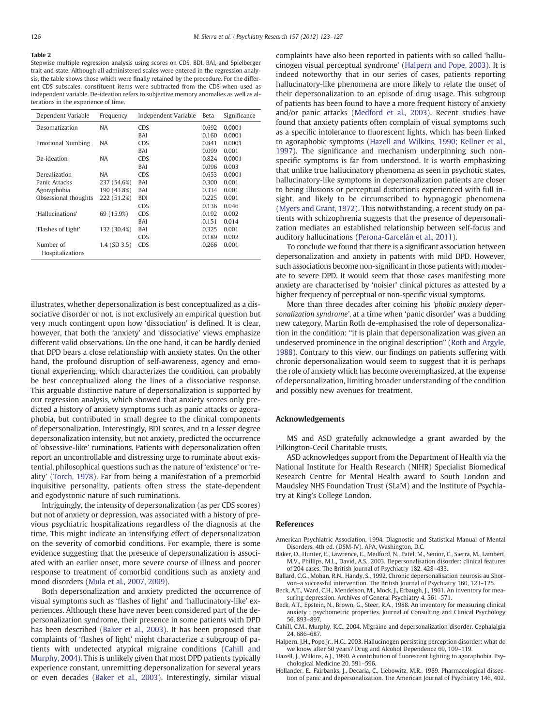#### <span id="page-3-0"></span>Table 2

Stepwise multiple regression analysis using scores on CDS, BDI, BAI, and Spielberger trait and state. Although all administered scales were entered in the regression analysis, the table shows those which were finally retained by the procedure. For the different CDS subscales, constituent items were subtracted from the CDS when used as independent variable. De-ideation refers to subjective memory anomalies as well as alterations in the experience of time.

| Dependent Variable       | Frequency         | Independent Variable | Beta  | Significance |
|--------------------------|-------------------|----------------------|-------|--------------|
| Desomatization           | NA                | <b>CDS</b>           | 0.692 | 0.0001       |
|                          |                   | BAI                  | 0.160 | 0.0001       |
| <b>Emotional Numbing</b> | NA                | <b>CDS</b>           | 0.841 | 0.0001       |
|                          |                   | BAI                  | 0.099 | 0.001        |
| De-ideation              | NA                | <b>CDS</b>           | 0.824 | 0.0001       |
|                          |                   | BAI                  | 0.096 | 0.003        |
| Derealization            | NA                | <b>CDS</b>           | 0.653 | 0.0001       |
| Panic Attacks            | 237 (54.6%)       | BAI                  | 0.300 | 0.001        |
| Agoraphobia              | 190 (43.8%)       | BAI                  | 0.334 | 0.001        |
| Obsessional thoughts     | 222 (51.2%)       | <b>BDI</b>           | 0.225 | 0.001        |
|                          |                   | <b>CDS</b>           | 0.136 | 0.046        |
| 'Hallucinations'         | 69 (15.9%)        | <b>CDS</b>           | 0.192 | 0.002        |
|                          |                   | BAI                  | 0.151 | 0.014        |
| 'Flashes of Light'       | 132 (30.4%)       | BAI                  | 0.325 | 0.001        |
|                          |                   | <b>CDS</b>           | 0.189 | 0.002        |
| Number of                | $1.4$ (SD $3.5$ ) | <b>CDS</b>           | 0.266 | 0.001        |
| Hospitalizations         |                   |                      |       |              |

illustrates, whether depersonalization is best conceptualized as a dissociative disorder or not, is not exclusively an empirical question but very much contingent upon how 'dissociation' is defined. It is clear, however, that both the 'anxiety' and 'dissociative' views emphasize different valid observations. On the one hand, it can be hardly denied that DPD bears a close relationship with anxiety states. On the other hand, the profound disruption of self-awareness, agency and emotional experiencing, which characterizes the condition, can probably be best conceptualized along the lines of a dissociative response. This arguable distinctive nature of depersonalization is supported by our regression analysis, which showed that anxiety scores only predicted a history of anxiety symptoms such as panic attacks or agoraphobia, but contributed in small degree to the clinical components of depersonalization. Interestingly, BDI scores, and to a lesser degree depersonalization intensity, but not anxiety, predicted the occurrence of 'obsessive-like' ruminations. Patients with depersonalization often report an uncontrollable and distressing urge to ruminate about existential, philosophical questions such as the nature of 'existence' or 'reality' [\(Torch, 1978\)](#page-4-0). Far from being a manifestation of a premorbid inquisitive personality, patients often stress the state-dependent and egodystonic nature of such ruminations.

Intriguingly, the intensity of depersonalization (as per CDS scores) but not of anxiety or depression, was associated with a history of previous psychiatric hospitalizations regardless of the diagnosis at the time. This might indicate an intensifying effect of depersonalization on the severity of comorbid conditions. For example, there is some evidence suggesting that the presence of depersonalization is associated with an earlier onset, more severe course of illness and poorer response to treatment of comorbid conditions such as anxiety and mood disorders ([Mula et al., 2007, 2009](#page-4-0)).

Both depersonalization and anxiety predicted the occurrence of visual symptoms such as 'flashes of light' and 'hallucinatory-like' experiences. Although these have never been considered part of the depersonalization syndrome, their presence in some patients with DPD has been described (Baker et al., 2003). It has been proposed that complaints of 'flashes of light' might characterize a subgroup of patients with undetected atypical migraine conditions (Cahill and Murphy, 2004). This is unlikely given that most DPD patients typically experience constant, unremitting depersonalization for several years or even decades (Baker et al., 2003). Interestingly, similar visual

complaints have also been reported in patients with so called 'hallucinogen visual perceptual syndrome' (Halpern and Pope, 2003). It is indeed noteworthy that in our series of cases, patients reporting hallucinatory-like phenomena are more likely to relate the onset of their depersonalization to an episode of drug usage. This subgroup of patients has been found to have a more frequent history of anxiety and/or panic attacks [\(Medford et al., 2003\)](#page-4-0). Recent studies have found that anxiety patients often complain of visual symptoms such as a specific intolerance to fluorescent lights, which has been linked to agoraphobic symptoms (Hazell and Wilkins, 1990; Kellner et al., 1997). The significance and mechanism underpinning such nonspecific symptoms is far from understood. It is worth emphasizing that unlike true hallucinatory phenomena as seen in psychotic states, hallucinatory-like symptoms in depersonalization patients are closer to being illusions or perceptual distortions experienced with full insight, and likely to be circumscribed to hypnagogic phenomena [\(Myers and Grant, 1972\)](#page-4-0). This notwithstanding, a recent study on patients with schizophrenia suggests that the presence of depersonalization mediates an established relationship between self-focus and auditory hallucinations ([Perona-Garcelán et al., 2011\)](#page-4-0).

To conclude we found that there is a significant association between depersonalization and anxiety in patients with mild DPD. However, such associations become non-significant in those patients with moderate to severe DPD. It would seem that those cases manifesting more anxiety are characterised by 'noisier' clinical pictures as attested by a higher frequency of perceptual or non-specific visual symptoms.

More than three decades after coining his 'phobic anxiety depersonalization syndrome', at a time when 'panic disorder' was a budding new category, Martin Roth de-emphasised the role of depersonalization in the condition: "it is plain that depersonalization was given an undeserved prominence in the original description" [\(Roth and Argyle,](#page-4-0) [1988\)](#page-4-0). Contrary to this view, our findings on patients suffering with chronic depersonalization would seem to suggest that it is perhaps the role of anxiety which has become overemphasized, at the expense of depersonalization, limiting broader understanding of the condition and possibly new avenues for treatment.

# Acknowledgements

MS and ASD gratefully acknowledge a grant awarded by the Pilkington-Cecil Charitable trusts.

ASD acknowledges support from the Department of Health via the National Institute for Health Research (NIHR) Specialist Biomedical Research Centre for Mental Health award to South London and Maudsley NHS Foundation Trust (SLaM) and the Institute of Psychiatry at King's College London.

# References

- American Psychiatric Association, 1994. Diagnostic and Statistical Manual of Mental Disorders, 4th ed. (DSM-IV). APA, Washington, D.C.
- Baker, D., Hunter, E., Lawrence, E., Medford, N., Patel, M., Senior, C., Sierra, M., Lambert, M.V., Phillips, M.L., David, A.S., 2003. Depersonalisation disorder: clinical features of 204 cases. The British Journal of Psychiatry 182, 428–433.
- Ballard, C.G., Mohan, R.N., Handy, S., 1992. Chronic depersonalisation neurosis au Shorvon–a successful intervention. The British Journal of Psychiatry 160, 123–125.
- Beck, A.T., Ward, C.H., Mendelson, M., Mock, J., Erbaugh, J., 1961. An inventory for measuring depression. Archives of General Psychiatry 4, 561–571.
- Beck, A.T., Epstein, N., Brown, G., Steer, R.A., 1988. An inventory for measuring clinical anxiety : psychometric properties. Journal of Consulting and Clinical Psychology 56, 893–897.
- Cahill, C.M., Murphy, K.C., 2004. Migraine and depersonalization disorder. Cephalalgia 24, 686–687.
- Halpern, J.H., Pope Jr., H.G., 2003. Hallucinogen persisting perception disorder: what do we know after 50 years? Drug and Alcohol Dependence 69, 109–119.
- Hazell, J., Wilkins, A.J., 1990. A contribution of fluorescent lighting to agoraphobia. Psychological Medicine 20, 591–596.
- Hollander, E., Fairbanks, J., Decaria, C., Liebowitz, M.R., 1989. Pharmacological dissection of panic and depersonalization. The American Journal of Psychiatry 146, 402.